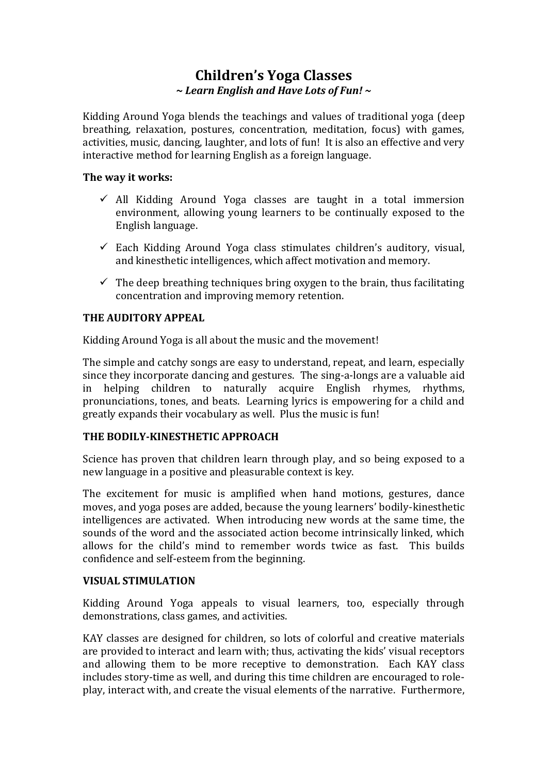# **Children's Yoga Classes ~** *Learn English and Have Lots of Fun! ~*

Kidding Around Yoga blends the teachings and values of traditional yoga (deep breathing, relaxation, postures, concentration, meditation, focus) with games, activities, music, dancing, laughter, and lots of fun! It is also an effective and very interactive method for learning English as a foreign language.

#### **The way it works:**

- $\checkmark$  All Kidding Around Yoga classes are taught in a total immersion environment, allowing young learners to be continually exposed to the English language.
- $\checkmark$  Each Kidding Around Yoga class stimulates children's auditory, visual, and kinesthetic intelligences, which affect motivation and memory.
- $\checkmark$  The deep breathing techniques bring oxygen to the brain, thus facilitating concentration and improving memory retention.

## **THE AUDITORY APPEAL**

Kidding Around Yoga is all about the music and the movement!

The simple and catchy songs are easy to understand, repeat, and learn, especially since they incorporate dancing and gestures. The sing-a-longs are a valuable aid in helping children to naturally acquire English rhymes, rhythms, pronunciations, tones, and beats. Learning lyrics is empowering for a child and greatly expands their vocabulary as well. Plus the music is fun!

## **THE BODILY-KINESTHETIC APPROACH**

Science has proven that children learn through play, and so being exposed to a new language in a positive and pleasurable context is key.

The excitement for music is amplified when hand motions, gestures, dance moves, and yoga poses are added, because the young learners' bodily-kinesthetic intelligences are activated. When introducing new words at the same time, the sounds of the word and the associated action become intrinsically linked, which allows for the child's mind to remember words twice as fast. This builds confidence and self-esteem from the beginning.

#### **VISUAL STIMULATION**

Kidding Around Yoga appeals to visual learners, too, especially through demonstrations, class games, and activities.

KAY classes are designed for children, so lots of colorful and creative materials are provided to interact and learn with; thus, activating the kids' visual receptors and allowing them to be more receptive to demonstration. Each KAY class includes story-time as well, and during this time children are encouraged to roleplay, interact with, and create the visual elements of the narrative. Furthermore,